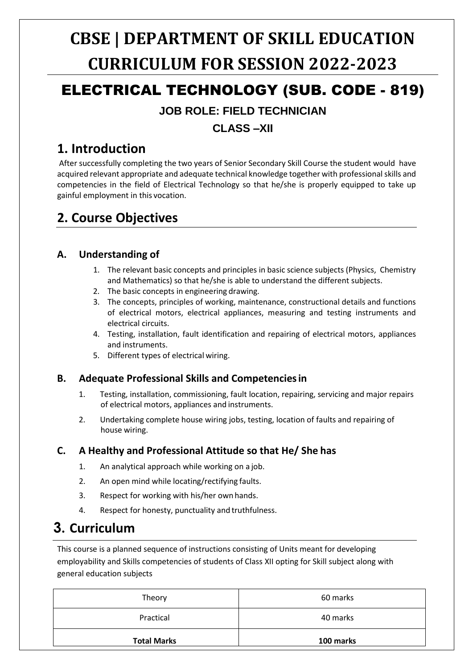# **CBSE | DEPARTMENT OF SKILL EDUCATION CURRICULUM FOR SESSION 2022-2023**

## ELECTRICAL TECHNOLOGY (SUB. CODE - 819)

## **JOB ROLE: FIELD TECHNICIAN**

## **CLASS –XII**

## **1. Introduction**

After successfully completing the two years of Senior Secondary Skill Course the student would have acquired relevant appropriate and adequate technical knowledge together with professional skills and competencies in the field of Electrical Technology so that he/she is properly equipped to take up gainful employment in this vocation.

## **2. Course Objectives**

### **A. Understanding of**

- 1. The relevant basic concepts and principles in basic science subjects (Physics, Chemistry and Mathematics) so that he/she is able to understand the different subjects.
- 2. The basic concepts in engineering drawing.
- 3. The concepts, principles of working, maintenance, constructional details and functions of electrical motors, electrical appliances, measuring and testing instruments and electrical circuits.
- 4. Testing, installation, fault identification and repairing of electrical motors, appliances and instruments.
- 5. Different types of electrical wiring.

### **B. Adequate Professional Skills and Competenciesin**

- 1. Testing, installation, commissioning, fault location, repairing, servicing and major repairs of electrical motors, appliances and instruments.
- 2. Undertaking complete house wiring jobs, testing, location of faults and repairing of house wiring.

### **C. A Healthy and Professional Attitude so that He/ She has**

- 1. An analytical approach while working on a job.
- 2. An open mind while locating/rectifying faults.
- 3. Respect for working with his/her own hands.
- 4. Respect for honesty, punctuality and truthfulness.

## **3. Curriculum**

This course is a planned sequence of instructions consisting of Units meant for developing employability and Skills competencies of students of Class XII opting for Skill subject along with general education subjects

| Theory             | 60 marks  |  |
|--------------------|-----------|--|
| Practical          | 40 marks  |  |
| <b>Total Marks</b> | 100 marks |  |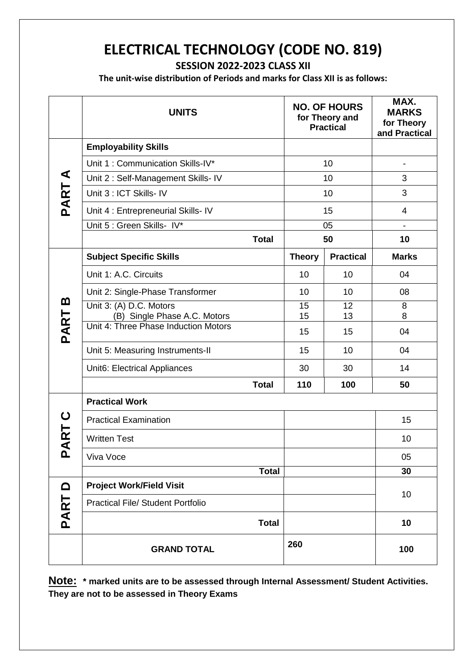## **ELECTRICAL TECHNOLOGY (CODE NO. 819)**

**SESSION 2022-2023 CLASS XII**

**The unit-wise distribution of Periods and marks for Class XII is as follows:**

|             | <b>UNITS</b>                                            |              |               | <b>NO. OF HOURS</b><br>for Theory and<br><b>Practical</b> | MAX.<br><b>MARKS</b><br>for Theory<br>and Practical |
|-------------|---------------------------------------------------------|--------------|---------------|-----------------------------------------------------------|-----------------------------------------------------|
|             | <b>Employability Skills</b>                             |              |               |                                                           |                                                     |
|             | Unit 1: Communication Skills-IV*                        |              |               | 10                                                        | $\qquad \qquad \blacksquare$                        |
| ⋖           | Unit 2: Self-Management Skills- IV                      |              |               | 10                                                        | 3                                                   |
| <b>PART</b> | Unit 3 : ICT Skills- IV                                 |              |               | 10                                                        | 3                                                   |
|             | Unit 4 : Entrepreneurial Skills- IV                     |              | 15            |                                                           | 4                                                   |
|             | Unit 5 : Green Skills- IV*                              |              |               | 05                                                        |                                                     |
|             |                                                         | <b>Total</b> | 50            |                                                           | 10                                                  |
|             | <b>Subject Specific Skills</b>                          |              | <b>Theory</b> | <b>Practical</b>                                          | <b>Marks</b>                                        |
|             | Unit 1: A.C. Circuits                                   |              | 10            | 10                                                        | 04                                                  |
|             | Unit 2: Single-Phase Transformer                        |              | 10            | 10                                                        | 08                                                  |
| m           | Unit 3: (A) D.C. Motors<br>(B) Single Phase A.C. Motors |              | 15<br>15      | 12<br>13                                                  | 8<br>8                                              |
| PART        | Unit 4: Three Phase Induction Motors                    |              | 15            | 15                                                        | 04                                                  |
|             | Unit 5: Measuring Instruments-II                        |              | 15            | 10                                                        | 04                                                  |
|             | Unit6: Electrical Appliances                            |              | 30            | 30                                                        | 14                                                  |
|             |                                                         | <b>Total</b> | 110           | 100                                                       | 50                                                  |
|             | <b>Practical Work</b>                                   |              |               |                                                           |                                                     |
| ပ           | <b>Practical Examination</b>                            |              |               |                                                           | 15                                                  |
| <b>ART</b>  | <b>Written Test</b>                                     |              |               |                                                           | 10                                                  |
| ք           | Viva Voce                                               |              |               |                                                           | 05                                                  |
|             |                                                         | <b>Total</b> |               |                                                           | 30                                                  |
| $\Omega$    | <b>Project Work/Field Visit</b>                         |              |               |                                                           | 10                                                  |
| PART        | <b>Practical File/ Student Portfolio</b>                |              |               |                                                           |                                                     |
|             |                                                         | <b>Total</b> |               |                                                           | 10                                                  |
|             | <b>GRAND TOTAL</b>                                      |              | 260           |                                                           | 100                                                 |

**Note: \* marked units are to be assessed through Internal Assessment/ Student Activities. They are not to be assessed in Theory Exams**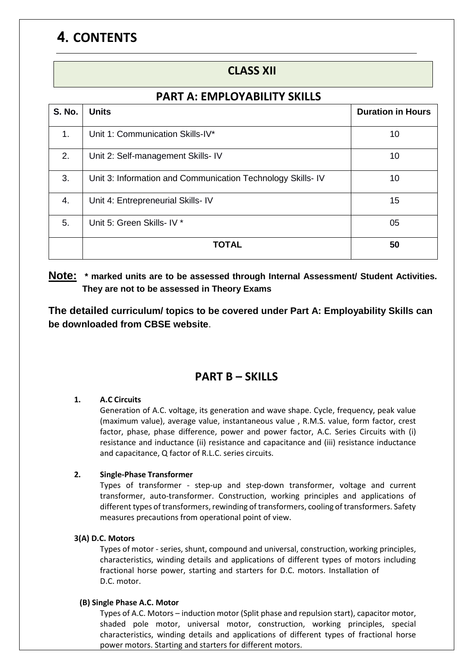## **4. CONTENTS**

### **CLASS XII**

### **PART A: EMPLOYABILITY SKILLS**

| <b>S. No.</b> | <b>Units</b>                                               | <b>Duration in Hours</b> |
|---------------|------------------------------------------------------------|--------------------------|
| 1.            | Unit 1: Communication Skills-IV*                           | 10                       |
| 2.            | Unit 2: Self-management Skills- IV                         | 10                       |
| 3.            | Unit 3: Information and Communication Technology Skills-IV | 10                       |
| 4.            | Unit 4: Entrepreneurial Skills- IV                         | 15                       |
| 5.            | Unit 5: Green Skills- IV *                                 | 05                       |
|               | <b>TOTAL</b>                                               | 50                       |

### **Note: \* marked units are to be assessed through Internal Assessment/ Student Activities. They are not to be assessed in Theory Exams**

**The detailed curriculum/ topics to be covered under Part A: Employability Skills can be downloaded from CBSE website**.

### **PART B – SKILLS**

#### **1. A.C Circuits**

Generation of A.C. voltage, its generation and wave shape. Cycle, frequency, peak value (maximum value), average value, instantaneous value , R.M.S. value, form factor, crest factor, phase, phase difference, power and power factor, A.C. Series Circuits with (i) resistance and inductance (ii) resistance and capacitance and (iii) resistance inductance and capacitance, Q factor of R.L.C. series circuits.

#### **2. Single-Phase Transformer**

Types of transformer - step-up and step-down transformer, voltage and current transformer, auto-transformer. Construction, working principles and applications of different types of transformers, rewinding of transformers, cooling of transformers. Safety measures precautions from operational point of view.

#### **3(A) D.C. Motors**

Types of motor - series, shunt, compound and universal, construction, working principles, characteristics, winding details and applications of different types of motors including fractional horse power, starting and starters for D.C. motors. Installation of D.C. motor.

#### **(B) Single Phase A.C. Motor**

Types of A.C. Motors – induction motor (Split phase and repulsion start), capacitor motor, shaded pole motor, universal motor, construction, working principles, special characteristics, winding details and applications of different types of fractional horse power motors. Starting and starters for different motors.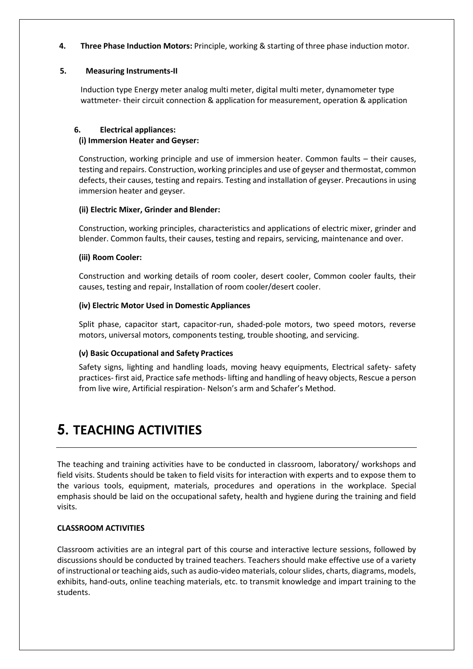**4. Three Phase Induction Motors:** Principle, working & starting of three phase induction motor.

#### **5. Measuring Instruments-II**

Induction type Energy meter analog multi meter, digital multi meter, dynamometer type wattmeter- their circuit connection & application for measurement, operation & application

#### **6. Electrical appliances: (i) Immersion Heater and Geyser:**

Construction, working principle and use of immersion heater. Common faults – their causes, testing and repairs. Construction, working principles and use of geyser and thermostat, common defects, their causes, testing and repairs. Testing and installation of geyser. Precautions in using immersion heater and geyser.

#### **(ii) Electric Mixer, Grinder and Blender:**

Construction, working principles, characteristics and applications of electric mixer, grinder and blender. Common faults, their causes, testing and repairs, servicing, maintenance and over.

#### **(iii) Room Cooler:**

Construction and working details of room cooler, desert cooler, Common cooler faults, their causes, testing and repair, Installation of room cooler/desert cooler.

#### **(iv) Electric Motor Used in Domestic Appliances**

Split phase, capacitor start, capacitor-run, shaded-pole motors, two speed motors, reverse motors, universal motors, components testing, trouble shooting, and servicing.

#### **(v) Basic Occupational and Safety Practices**

Safety signs, lighting and handling loads, moving heavy equipments, Electrical safety- safety practices- first aid, Practice safe methods- lifting and handling of heavy objects, Rescue a person from live wire, Artificial respiration- Nelson's arm and Schafer's Method.

## **5. TEACHING ACTIVITIES**

The teaching and training activities have to be conducted in classroom, laboratory/ workshops and field visits. Students should be taken to field visits for interaction with experts and to expose them to the various tools, equipment, materials, procedures and operations in the workplace. Special emphasis should be laid on the occupational safety, health and hygiene during the training and field visits.

#### **CLASSROOM ACTIVITIES**

Classroom activities are an integral part of this course and interactive lecture sessions, followed by discussions should be conducted by trained teachers. Teachers should make effective use of a variety of instructional or teaching aids, such as audio-video materials, colour slides, charts, diagrams, models, exhibits, hand-outs, online teaching materials, etc. to transmit knowledge and impart training to the students.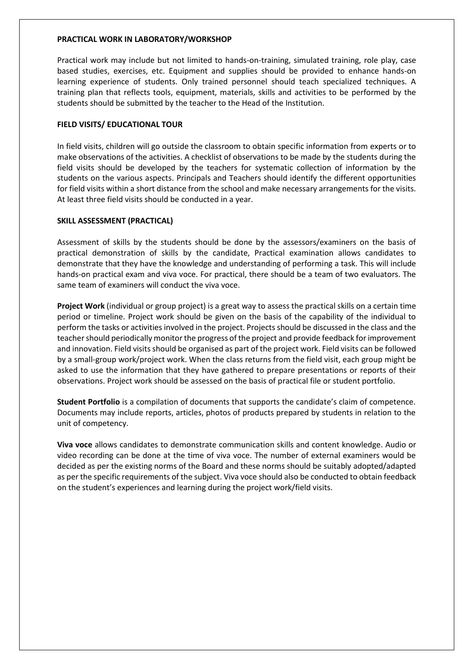#### **PRACTICAL WORK IN LABORATORY/WORKSHOP**

Practical work may include but not limited to hands-on-training, simulated training, role play, case based studies, exercises, etc. Equipment and supplies should be provided to enhance hands-on learning experience of students. Only trained personnel should teach specialized techniques. A training plan that reflects tools, equipment, materials, skills and activities to be performed by the students should be submitted by the teacher to the Head of the Institution.

#### **FIELD VISITS/ EDUCATIONAL TOUR**

In field visits, children will go outside the classroom to obtain specific information from experts or to make observations of the activities. A checklist of observations to be made by the students during the field visits should be developed by the teachers for systematic collection of information by the students on the various aspects. Principals and Teachers should identify the different opportunities for field visits within a short distance from the school and make necessary arrangements for the visits. At least three field visits should be conducted in a year.

#### **SKILL ASSESSMENT (PRACTICAL)**

Assessment of skills by the students should be done by the assessors/examiners on the basis of practical demonstration of skills by the candidate, Practical examination allows candidates to demonstrate that they have the knowledge and understanding of performing a task. This will include hands-on practical exam and viva voce. For practical, there should be a team of two evaluators. The same team of examiners will conduct the viva voce.

**Project Work** (individual or group project) is a great way to assess the practical skills on a certain time period or timeline. Project work should be given on the basis of the capability of the individual to perform the tasks or activities involved in the project. Projects should be discussed in the class and the teacher should periodically monitor the progress of the project and provide feedback for improvement and innovation. Field visits should be organised as part of the project work. Field visits can be followed by a small-group work/project work. When the class returns from the field visit, each group might be asked to use the information that they have gathered to prepare presentations or reports of their observations. Project work should be assessed on the basis of practical file or student portfolio.

**Student Portfolio** is a compilation of documents that supports the candidate's claim of competence. Documents may include reports, articles, photos of products prepared by students in relation to the unit of competency.

**Viva voce** allows candidates to demonstrate communication skills and content knowledge. Audio or video recording can be done at the time of viva voce. The number of external examiners would be decided as per the existing norms of the Board and these norms should be suitably adopted/adapted as per the specific requirements of the subject. Viva voce should also be conducted to obtain feedback on the student's experiences and learning during the project work/field visits.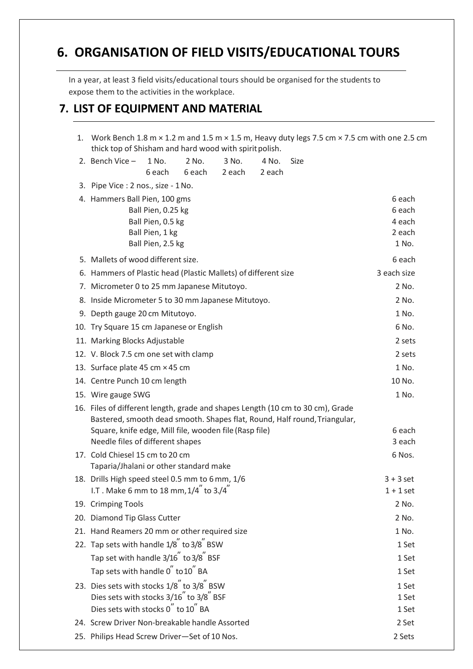## **6. ORGANISATION OF FIELD VISITS/EDUCATIONAL TOURS**

In a year, at least 3 field visits/educational tours should be organised for the students to expose them to the activities in the workplace.

### **7. LIST OF EQUIPMENT AND MATERIAL**

| thick top of Shisham and hard wood with spirit polish.                                     |                                                                                 |                 |                 |                 |                                                                                                                                                             | 1. Work Bench 1.8 m $\times$ 1.2 m and 1.5 m $\times$ 1.5 m, Heavy duty legs 7.5 cm $\times$ 7.5 cm with one 2.5 cm |
|--------------------------------------------------------------------------------------------|---------------------------------------------------------------------------------|-----------------|-----------------|-----------------|-------------------------------------------------------------------------------------------------------------------------------------------------------------|---------------------------------------------------------------------------------------------------------------------|
| 2. Bench Vice $-$                                                                          | 1 No.<br>6 each                                                                 | 2 No.<br>6 each | 3 No.<br>2 each | 4 No.<br>2 each | <b>Size</b>                                                                                                                                                 |                                                                                                                     |
| 3. Pipe Vice : 2 nos., size - 1 No.                                                        |                                                                                 |                 |                 |                 |                                                                                                                                                             |                                                                                                                     |
| 4. Hammers Ball Pien, 100 gms                                                              | Ball Pien, 0.25 kg<br>Ball Pien, 0.5 kg<br>Ball Pien, 1 kg<br>Ball Pien, 2.5 kg |                 |                 |                 |                                                                                                                                                             | 6 each<br>6 each<br>4 each<br>2 each<br>1 No.                                                                       |
| 5. Mallets of wood different size.                                                         |                                                                                 |                 |                 |                 |                                                                                                                                                             | 6 each                                                                                                              |
| 6. Hammers of Plastic head (Plastic Mallets) of different size                             |                                                                                 |                 |                 |                 |                                                                                                                                                             | 3 each size                                                                                                         |
| 7. Micrometer 0 to 25 mm Japanese Mitutoyo.                                                |                                                                                 |                 |                 |                 |                                                                                                                                                             | 2 No.                                                                                                               |
| 8. Inside Micrometer 5 to 30 mm Japanese Mitutoyo.                                         |                                                                                 |                 |                 |                 |                                                                                                                                                             | 2 No.                                                                                                               |
| 9. Depth gauge 20 cm Mitutoyo.                                                             |                                                                                 |                 |                 |                 |                                                                                                                                                             | 1 No.                                                                                                               |
| 10. Try Square 15 cm Japanese or English                                                   |                                                                                 |                 |                 |                 |                                                                                                                                                             | 6 No.                                                                                                               |
| 11. Marking Blocks Adjustable                                                              |                                                                                 |                 |                 |                 |                                                                                                                                                             | 2 sets                                                                                                              |
| 12. V. Block 7.5 cm one set with clamp                                                     |                                                                                 |                 |                 |                 |                                                                                                                                                             | 2 sets                                                                                                              |
| 13. Surface plate 45 cm × 45 cm                                                            |                                                                                 |                 |                 |                 |                                                                                                                                                             | 1 No.                                                                                                               |
| 14. Centre Punch 10 cm length                                                              |                                                                                 |                 |                 |                 |                                                                                                                                                             | 10 No.                                                                                                              |
| 15. Wire gauge SWG                                                                         |                                                                                 |                 |                 |                 |                                                                                                                                                             | 1 No.                                                                                                               |
| Square, knife edge, Mill file, wooden file (Rasp file)<br>Needle files of different shapes |                                                                                 |                 |                 |                 | 16. Files of different length, grade and shapes Length (10 cm to 30 cm), Grade<br>Bastered, smooth dead smooth. Shapes flat, Round, Half round, Triangular, | 6 each<br>3 each                                                                                                    |
| 17. Cold Chiesel 15 cm to 20 cm<br>Taparia/Jhalani or other standard make                  |                                                                                 |                 |                 |                 |                                                                                                                                                             | 6 Nos.                                                                                                              |
| 18. Drills High speed steel 0.5 mm to 6 mm, 1/6                                            |                                                                                 |                 |                 |                 |                                                                                                                                                             | $3 + 3$ set                                                                                                         |
| I.T . Make 6 mm to 18 mm, $1/4$ <sup>"</sup> to $3.44$ <sup>"</sup>                        |                                                                                 |                 |                 |                 |                                                                                                                                                             | $1 + 1$ set                                                                                                         |
| 19. Crimping Tools                                                                         |                                                                                 |                 |                 |                 |                                                                                                                                                             | 2 No.                                                                                                               |
| 20. Diamond Tip Glass Cutter                                                               |                                                                                 |                 |                 |                 |                                                                                                                                                             | 2 No.                                                                                                               |
| 21. Hand Reamers 20 mm or other required size                                              |                                                                                 |                 |                 |                 |                                                                                                                                                             | 1 No.                                                                                                               |
| 22. Tap sets with handle 1/8" to 3/8" BSW                                                  |                                                                                 |                 |                 |                 |                                                                                                                                                             | 1 Set                                                                                                               |
| Tap set with handle 3/16" to 3/8" BSF                                                      |                                                                                 |                 |                 |                 |                                                                                                                                                             | 1 Set                                                                                                               |
| Tap sets with handle 0 to 10 BA                                                            |                                                                                 |                 |                 |                 |                                                                                                                                                             | 1 Set                                                                                                               |
| 23. Dies sets with stocks 1/8" to 3/8" BSW                                                 |                                                                                 |                 |                 |                 |                                                                                                                                                             | 1 Set                                                                                                               |
| Dies sets with stocks 3/16 to 3/8 BSF<br>Dies sets with stocks 0" to 10" BA                |                                                                                 |                 |                 |                 |                                                                                                                                                             | 1 Set                                                                                                               |
|                                                                                            |                                                                                 |                 |                 |                 |                                                                                                                                                             | 1 Set                                                                                                               |
| 24. Screw Driver Non-breakable handle Assorted                                             |                                                                                 |                 |                 |                 |                                                                                                                                                             | 2 Set                                                                                                               |
| 25. Philips Head Screw Driver-Set of 10 Nos.                                               |                                                                                 |                 |                 |                 |                                                                                                                                                             | 2 Sets                                                                                                              |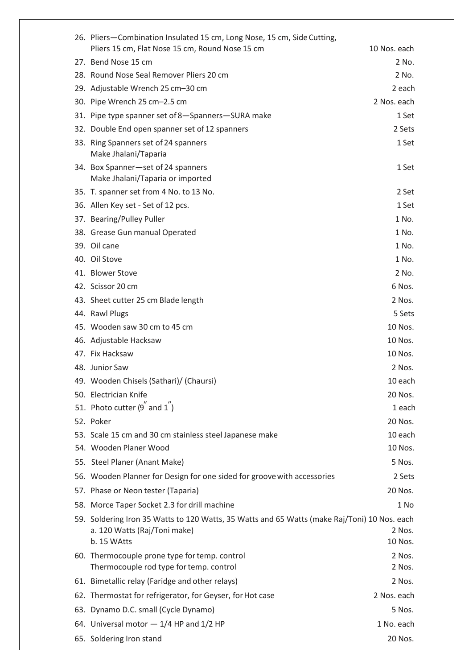| 26. Pliers-Combination Insulated 15 cm, Long Nose, 15 cm, Side Cutting,<br>Pliers 15 cm, Flat Nose 15 cm, Round Nose 15 cm   | 10 Nos. each     |
|------------------------------------------------------------------------------------------------------------------------------|------------------|
| 27. Bend Nose 15 cm                                                                                                          | 2 No.            |
| 28. Round Nose Seal Remover Pliers 20 cm                                                                                     | 2 No.            |
| 29. Adjustable Wrench 25 cm-30 cm                                                                                            | 2 each           |
| 30. Pipe Wrench 25 cm-2.5 cm                                                                                                 | 2 Nos. each      |
| 31. Pipe type spanner set of 8-Spanners-SURA make                                                                            | 1 Set            |
| 32. Double End open spanner set of 12 spanners                                                                               | 2 Sets           |
| 33. Ring Spanners set of 24 spanners                                                                                         | 1 Set            |
| Make Jhalani/Taparia                                                                                                         |                  |
| 34. Box Spanner-set of 24 spanners<br>Make Jhalani/Taparia or imported                                                       | 1 Set            |
| 35. T. spanner set from 4 No. to 13 No.                                                                                      | 2 Set            |
| 36. Allen Key set - Set of 12 pcs.                                                                                           | 1 Set            |
| 37. Bearing/Pulley Puller                                                                                                    | 1 No.            |
| 38. Grease Gun manual Operated                                                                                               | 1 No.            |
| 39. Oil cane                                                                                                                 | 1 No.            |
| 40. Oil Stove                                                                                                                | 1 No.            |
| 41. Blower Stove                                                                                                             | 2 No.            |
| 42. Scissor 20 cm                                                                                                            | 6 Nos.           |
| 43. Sheet cutter 25 cm Blade length                                                                                          | 2 Nos.           |
| 44. Rawl Plugs                                                                                                               | 5 Sets           |
| 45. Wooden saw 30 cm to 45 cm                                                                                                | 10 Nos.          |
| 46. Adjustable Hacksaw                                                                                                       | 10 Nos.          |
| 47. Fix Hacksaw                                                                                                              | 10 Nos.          |
| 48. Junior Saw                                                                                                               | 2 Nos.           |
| 49. Wooden Chisels (Sathari)/ (Chaursi)                                                                                      | 10 each          |
| 50. Electrician Knife                                                                                                        | 20 Nos.          |
| 51. Photo cutter $(9^{n}$ and $1^{n})$                                                                                       | 1 each           |
| 52. Poker                                                                                                                    | 20 Nos.          |
| 53. Scale 15 cm and 30 cm stainless steel Japanese make                                                                      | 10 each          |
| 54. Wooden Planer Wood                                                                                                       | 10 Nos.          |
| 55. Steel Planer (Anant Make)                                                                                                | 5 Nos.           |
| 56. Wooden Planner for Design for one sided for groove with accessories                                                      | 2 Sets           |
| 57. Phase or Neon tester (Taparia)                                                                                           | 20 Nos.          |
| 58. Morce Taper Socket 2.3 for drill machine                                                                                 | 1 No             |
| 59. Soldering Iron 35 Watts to 120 Watts, 35 Watts and 65 Watts (make Raj/Toni) 10 Nos. each<br>a. 120 Watts (Raj/Toni make) | 2 Nos.           |
| b. 15 WAtts                                                                                                                  | 10 Nos.          |
| 60. Thermocouple prone type for temp. control<br>Thermocouple rod type for temp. control                                     | 2 Nos.<br>2 Nos. |
| 61. Bimetallic relay (Faridge and other relays)                                                                              | 2 Nos.           |
| 62. Thermostat for refrigerator, for Geyser, for Hot case                                                                    | 2 Nos. each      |
| 63. Dynamo D.C. small (Cycle Dynamo)                                                                                         | 5 Nos.           |
| 64. Universal motor $-1/4$ HP and $1/2$ HP                                                                                   | 1 No. each       |
| 65. Soldering Iron stand                                                                                                     | 20 Nos.          |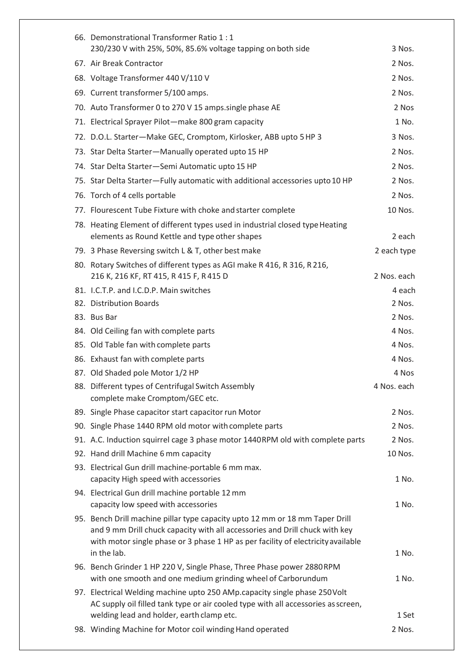| 66. Demonstrational Transformer Ratio 1:1                                                       |                  |
|-------------------------------------------------------------------------------------------------|------------------|
| 230/230 V with 25%, 50%, 85.6% voltage tapping on both side                                     | 3 Nos.           |
| 67. Air Break Contractor                                                                        | 2 Nos.           |
| 68. Voltage Transformer 440 V/110 V                                                             | 2 Nos.           |
| 69. Current transformer 5/100 amps.                                                             | 2 Nos.           |
| 70. Auto Transformer 0 to 270 V 15 amps.single phase AE                                         | 2 Nos            |
| 71. Electrical Sprayer Pilot-make 800 gram capacity                                             | 1 No.            |
| 72. D.O.L. Starter-Make GEC, Cromptom, Kirlosker, ABB upto 5 HP 3                               | 3 Nos.           |
| 73. Star Delta Starter-Manually operated upto 15 HP                                             | 2 Nos.           |
| 74. Star Delta Starter-Semi Automatic upto 15 HP                                                | 2 Nos.           |
| 75. Star Delta Starter-Fully automatic with additional accessories upto 10 HP                   | 2 Nos.           |
| 76. Torch of 4 cells portable                                                                   | 2 Nos.           |
| 77. Flourescent Tube Fixture with choke and starter complete                                    | 10 Nos.          |
| 78. Heating Element of different types used in industrial closed type Heating                   |                  |
| elements as Round Kettle and type other shapes                                                  | 2 each           |
| 79. 3 Phase Reversing switch L & T, other best make                                             | 2 each type      |
| 80. Rotary Switches of different types as AGI make R 416, R 316, R 216,                         |                  |
| 216 K, 216 KF, RT 415, R 415 F, R 415 D<br>81. I.C.T.P. and I.C.D.P. Main switches              | 2 Nos. each      |
| 82. Distribution Boards                                                                         | 4 each<br>2 Nos. |
| 83. Bus Bar                                                                                     | 2 Nos.           |
| 84. Old Ceiling fan with complete parts                                                         | 4 Nos.           |
| 85. Old Table fan with complete parts                                                           | 4 Nos.           |
| 86. Exhaust fan with complete parts                                                             | 4 Nos.           |
| 87. Old Shaded pole Motor 1/2 HP                                                                | 4 Nos            |
| 88. Different types of Centrifugal Switch Assembly                                              | 4 Nos. each      |
| complete make Cromptom/GEC etc.                                                                 |                  |
| 89. Single Phase capacitor start capacitor run Motor                                            | 2 Nos.           |
| 90. Single Phase 1440 RPM old motor with complete parts                                         | 2 Nos.           |
| 91. A.C. Induction squirrel cage 3 phase motor 1440RPM old with complete parts                  | 2 Nos.           |
| 92. Hand drill Machine 6 mm capacity                                                            | 10 Nos.          |
| 93. Electrical Gun drill machine-portable 6 mm max.<br>capacity High speed with accessories     | 1 No.            |
| 94. Electrical Gun drill machine portable 12 mm                                                 |                  |
| capacity low speed with accessories                                                             | 1 No.            |
| 95. Bench Drill machine pillar type capacity upto 12 mm or 18 mm Taper Drill                    |                  |
| and 9 mm Drill chuck capacity with all accessories and Drill chuck with key                     |                  |
| with motor single phase or 3 phase 1 HP as per facility of electricity available<br>in the lab. | 1 No.            |
| 96. Bench Grinder 1 HP 220 V, Single Phase, Three Phase power 2880 RPM                          |                  |
| with one smooth and one medium grinding wheel of Carborundum                                    | 1 No.            |
| 97. Electrical Welding machine upto 250 AMp.capacity single phase 250 Volt                      |                  |
| AC supply oil filled tank type or air cooled type with all accessories as screen,               |                  |
| welding lead and holder, earth clamp etc.                                                       | 1 Set            |
| 98. Winding Machine for Motor coil winding Hand operated                                        | 2 Nos.           |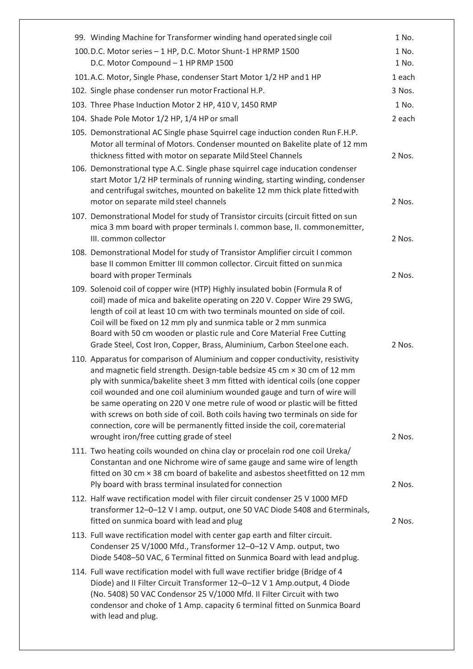| 99. Winding Machine for Transformer winding hand operated single coil                                                                                                                                                                                                                                                                                                                                                                                                                                                                                                                                           | 1 No.  |
|-----------------------------------------------------------------------------------------------------------------------------------------------------------------------------------------------------------------------------------------------------------------------------------------------------------------------------------------------------------------------------------------------------------------------------------------------------------------------------------------------------------------------------------------------------------------------------------------------------------------|--------|
| 100.D.C. Motor series - 1 HP, D.C. Motor Shunt-1 HP RMP 1500                                                                                                                                                                                                                                                                                                                                                                                                                                                                                                                                                    | 1 No.  |
| D.C. Motor Compound - 1 HP RMP 1500                                                                                                                                                                                                                                                                                                                                                                                                                                                                                                                                                                             | 1 No.  |
| 101.A.C. Motor, Single Phase, condenser Start Motor 1/2 HP and 1 HP                                                                                                                                                                                                                                                                                                                                                                                                                                                                                                                                             | 1 each |
| 102. Single phase condenser run motor Fractional H.P.                                                                                                                                                                                                                                                                                                                                                                                                                                                                                                                                                           | 3 Nos. |
| 103. Three Phase Induction Motor 2 HP, 410 V, 1450 RMP                                                                                                                                                                                                                                                                                                                                                                                                                                                                                                                                                          | 1 No.  |
| 104. Shade Pole Motor 1/2 HP, 1/4 HP or small                                                                                                                                                                                                                                                                                                                                                                                                                                                                                                                                                                   | 2 each |
| 105. Demonstrational AC Single phase Squirrel cage induction conden Run F.H.P.<br>Motor all terminal of Motors. Condenser mounted on Bakelite plate of 12 mm<br>thickness fitted with motor on separate Mild Steel Channels<br>106. Demonstrational type A.C. Single phase squirrel cage inducation condenser                                                                                                                                                                                                                                                                                                   | 2 Nos. |
| start Motor 1/2 HP terminals of running winding, starting winding, condenser<br>and centrifugal switches, mounted on bakelite 12 mm thick plate fitted with<br>motor on separate mild steel channels                                                                                                                                                                                                                                                                                                                                                                                                            | 2 Nos. |
| 107. Demonstrational Model for study of Transistor circuits (circuit fitted on sun                                                                                                                                                                                                                                                                                                                                                                                                                                                                                                                              |        |
| mica 3 mm board with proper terminals I. common base, II. commonemitter,                                                                                                                                                                                                                                                                                                                                                                                                                                                                                                                                        |        |
| III. common collector                                                                                                                                                                                                                                                                                                                                                                                                                                                                                                                                                                                           | 2 Nos. |
| 108. Demonstrational Model for study of Transistor Amplifier circuit I common<br>base II common Emitter III common collector. Circuit fitted on sunmica                                                                                                                                                                                                                                                                                                                                                                                                                                                         |        |
| board with proper Terminals                                                                                                                                                                                                                                                                                                                                                                                                                                                                                                                                                                                     | 2 Nos. |
| 109. Solenoid coil of copper wire (HTP) Highly insulated bobin (Formula R of                                                                                                                                                                                                                                                                                                                                                                                                                                                                                                                                    |        |
| coil) made of mica and bakelite operating on 220 V. Copper Wire 29 SWG,                                                                                                                                                                                                                                                                                                                                                                                                                                                                                                                                         |        |
| length of coil at least 10 cm with two terminals mounted on side of coil.                                                                                                                                                                                                                                                                                                                                                                                                                                                                                                                                       |        |
| Coil will be fixed on 12 mm ply and sunmica table or 2 mm sunmica<br>Board with 50 cm wooden or plastic rule and Core Material Free Cutting                                                                                                                                                                                                                                                                                                                                                                                                                                                                     |        |
| Grade Steel, Cost Iron, Copper, Brass, Aluminium, Carbon Steel one each.                                                                                                                                                                                                                                                                                                                                                                                                                                                                                                                                        | 2 Nos. |
| 110. Apparatus for comparison of Aluminium and copper conductivity, resistivity<br>and magnetic field strength. Design-table bedsize 45 cm × 30 cm of 12 mm<br>ply with sunmica/bakelite sheet 3 mm fitted with identical coils (one copper<br>coil wounded and one coil aluminium wounded gauge and turn of wire will<br>be same operating on 220 V one metre rule of wood or plastic will be fitted<br>with screws on both side of coil. Both coils having two terminals on side for<br>connection, core will be permanently fitted inside the coil, corematerial<br>wrought iron/free cutting grade of steel | 2 Nos. |
| 111. Two heating coils wounded on china clay or procelain rod one coil Ureka/                                                                                                                                                                                                                                                                                                                                                                                                                                                                                                                                   |        |
| Constantan and one Nichrome wire of same gauge and same wire of length                                                                                                                                                                                                                                                                                                                                                                                                                                                                                                                                          |        |
| fitted on 30 cm × 38 cm board of bakelite and asbestos sheetfitted on 12 mm<br>Ply board with brass terminal insulated for connection                                                                                                                                                                                                                                                                                                                                                                                                                                                                           | 2 Nos. |
| 112. Half wave rectification model with filer circuit condenser 25 V 1000 MFD                                                                                                                                                                                                                                                                                                                                                                                                                                                                                                                                   |        |
| transformer 12-0-12 V I amp. output, one 50 VAC Diode 5408 and 6 terminals,<br>fitted on sunmica board with lead and plug                                                                                                                                                                                                                                                                                                                                                                                                                                                                                       | 2 Nos. |
| 113. Full wave rectification model with center gap earth and filter circuit.<br>Condenser 25 V/1000 Mfd., Transformer 12-0-12 V Amp. output, two<br>Diode 5408-50 VAC, 6 Terminal fitted on Sunmica Board with lead and plug.                                                                                                                                                                                                                                                                                                                                                                                   |        |
| 114. Full wave rectification model with full wave rectifier bridge (Bridge of 4<br>Diode) and II Filter Circuit Transformer 12-0-12 V 1 Amp.output, 4 Diode<br>(No. 5408) 50 VAC Condensor 25 V/1000 Mfd. II Filter Circuit with two<br>condensor and choke of 1 Amp. capacity 6 terminal fitted on Sunmica Board<br>with lead and plug.                                                                                                                                                                                                                                                                        |        |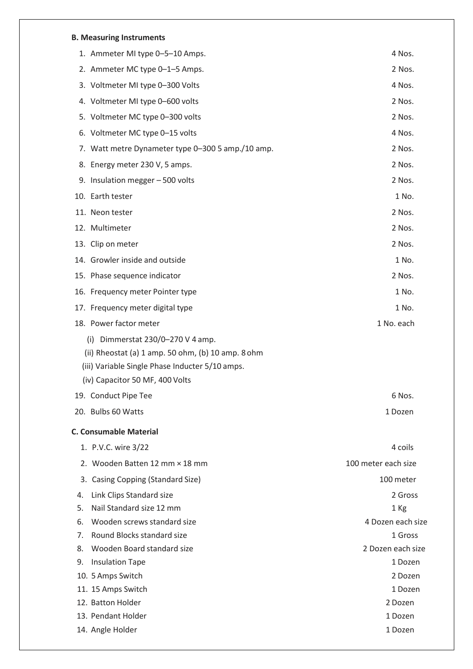#### **B. Measuring Instruments**

|    | 1. Ammeter MI type 0-5-10 Amps.                                                                                                                                                 | 4 Nos.              |
|----|---------------------------------------------------------------------------------------------------------------------------------------------------------------------------------|---------------------|
|    | 2. Ammeter MC type 0-1-5 Amps.                                                                                                                                                  | 2 Nos.              |
|    | 3. Voltmeter MI type 0-300 Volts                                                                                                                                                | 4 Nos.              |
|    | 4. Voltmeter MI type 0-600 volts                                                                                                                                                | 2 Nos.              |
|    | 5. Voltmeter MC type 0-300 volts                                                                                                                                                | 2 Nos.              |
|    | 6. Voltmeter MC type 0-15 volts                                                                                                                                                 | 4 Nos.              |
|    | 7. Watt metre Dynameter type 0-300 5 amp./10 amp.                                                                                                                               | 2 Nos.              |
|    | 8. Energy meter 230 V, 5 amps.                                                                                                                                                  | 2 Nos.              |
|    | 9. Insulation megger - 500 volts                                                                                                                                                | 2 Nos.              |
|    | 10. Earth tester                                                                                                                                                                | 1 No.               |
|    | 11. Neon tester                                                                                                                                                                 | 2 Nos.              |
|    | 12. Multimeter                                                                                                                                                                  | 2 Nos.              |
|    | 13. Clip on meter                                                                                                                                                               | 2 Nos.              |
|    | 14. Growler inside and outside                                                                                                                                                  | 1 No.               |
|    | 15. Phase sequence indicator                                                                                                                                                    | 2 Nos.              |
|    | 16. Frequency meter Pointer type                                                                                                                                                | 1 No.               |
|    | 17. Frequency meter digital type                                                                                                                                                | 1 No.               |
|    | 18. Power factor meter                                                                                                                                                          | 1 No. each          |
|    | (i) Dimmerstat $230/0-270$ V 4 amp.<br>(ii) Rheostat (a) 1 amp. 50 ohm, (b) 10 amp. 8 ohm<br>(iii) Variable Single Phase Inducter 5/10 amps.<br>(iv) Capacitor 50 MF, 400 Volts |                     |
|    | 19. Conduct Pipe Tee                                                                                                                                                            | 6 Nos.              |
|    | 20. Bulbs 60 Watts                                                                                                                                                              | 1 Dozen             |
|    | <b>C. Consumable Material</b>                                                                                                                                                   |                     |
|    | 1. P.V.C. wire 3/22                                                                                                                                                             | 4 coils             |
|    | 2. Wooden Batten 12 mm × 18 mm                                                                                                                                                  | 100 meter each size |
|    | 3. Casing Copping (Standard Size)                                                                                                                                               | 100 meter           |
| 4. | Link Clips Standard size                                                                                                                                                        | 2 Gross             |
| 5. | Nail Standard size 12 mm                                                                                                                                                        | 1 Kg                |
| 6. | Wooden screws standard size                                                                                                                                                     | 4 Dozen each size   |
| 7. | Round Blocks standard size                                                                                                                                                      | 1 Gross             |
| 8. | Wooden Board standard size                                                                                                                                                      | 2 Dozen each size   |
| 9. | <b>Insulation Tape</b>                                                                                                                                                          | 1 Dozen             |
|    | 10. 5 Amps Switch                                                                                                                                                               | 2 Dozen             |
|    | 11. 15 Amps Switch                                                                                                                                                              | 1 Dozen             |
|    | 12. Batton Holder                                                                                                                                                               | 2 Dozen             |
|    | 13. Pendant Holder                                                                                                                                                              | 1 Dozen             |
|    | 14. Angle Holder                                                                                                                                                                | 1 Dozen             |
|    |                                                                                                                                                                                 |                     |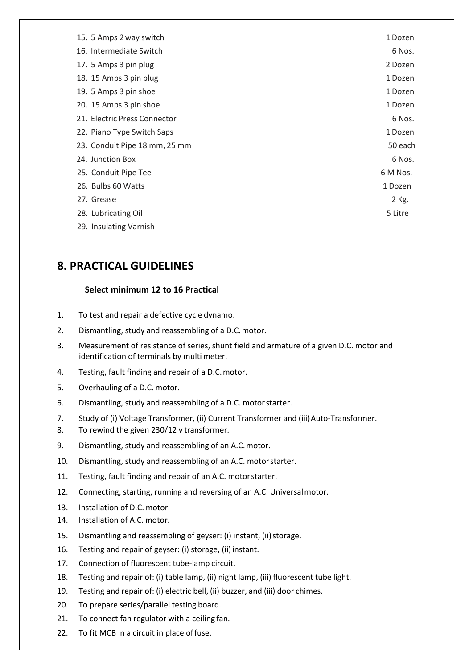| 15. 5 Amps 2 way switch       | 1 Dozen  |
|-------------------------------|----------|
| 16. Intermediate Switch       | 6 Nos.   |
| 17. 5 Amps 3 pin plug         | 2 Dozen  |
| 18. 15 Amps 3 pin plug        | 1 Dozen  |
| 19. 5 Amps 3 pin shoe         | 1 Dozen  |
| 20. 15 Amps 3 pin shoe        | 1 Dozen  |
| 21. Electric Press Connector  | 6 Nos.   |
| 22. Piano Type Switch Saps    | 1 Dozen  |
| 23. Conduit Pipe 18 mm, 25 mm | 50 each  |
| 24. Junction Box              | 6 Nos.   |
| 25. Conduit Pipe Tee          | 6 M Nos. |
| 26. Bulbs 60 Watts            | 1 Dozen  |
| 27. Grease                    | 2 Kg.    |
| 28. Lubricating Oil           | 5 Litre  |
| 29. Insulating Varnish        |          |

## **8. PRACTICAL GUIDELINES**

#### **Select minimum 12 to 16 Practical**

- 1. To test and repair a defective cycle dynamo.
- 2. Dismantling, study and reassembling of a D.C.motor.
- 3. Measurement of resistance of series, shunt field and armature of a given D.C. motor and identification of terminals by multi meter.
- 4. Testing, fault finding and repair of a D.C.motor.
- 5. Overhauling of a D.C. motor.
- 6. Dismantling, study and reassembling of a D.C. motorstarter.
- 7. Study of (i) Voltage Transformer, (ii) Current Transformer and (iii)Auto-Transformer.
- 8. To rewind the given 230/12 v transformer.
- 9. Dismantling, study and reassembling of an A.C.motor.
- 10. Dismantling, study and reassembling of an A.C. motorstarter.
- 11. Testing, fault finding and repair of an A.C. motorstarter.
- 12. Connecting, starting, running and reversing of an A.C. Universalmotor.
- 13. Installation of D.C. motor.
- 14. Installation of A.C. motor.
- 15. Dismantling and reassembling of geyser: (i) instant, (ii) storage.
- 16. Testing and repair of geyser: (i) storage, (ii) instant.
- 17. Connection of fluorescent tube-lamp circuit.
- 18. Testing and repair of: (i) table lamp, (ii) night lamp, (iii) fluorescent tube light.
- 19. Testing and repair of: (i) electric bell, (ii) buzzer, and (iii) door chimes.
- 20. To prepare series/parallel testing board.
- 21. To connect fan regulator with a ceiling fan.
- 22. To fit MCB in a circuit in place offuse.